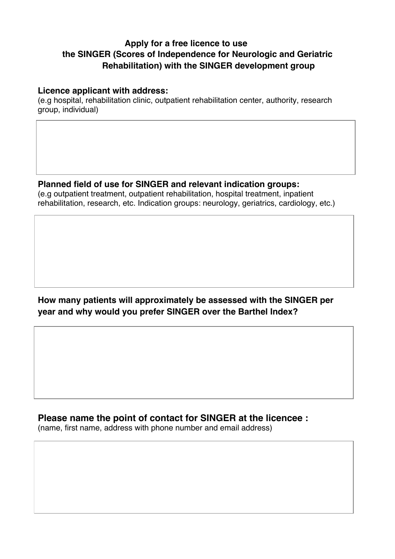## **Apply for a free licence to use the SINGER (Scores of Independence for Neurologic and Geriatric Rehabilitation) with the SINGER development group**

#### **Licence applicant with address:**

(e.g hospital, rehabilitation clinic, outpatient rehabilitation center, authority, research group, individual)

### **Planned field of use for SINGER and relevant indication groups:**

(e.g outpatient treatment, outpatient rehabilitation, hospital treatment, inpatient rehabilitation, research, etc. Indication groups: neurology, geriatrics, cardiology, etc.)

## **How many patients will approximately be assessed with the SINGER per year and why would you prefer SINGER over the Barthel Index?**

**Please name the point of contact for SINGER at the licencee :**

(name, first name, address with phone number and email address)